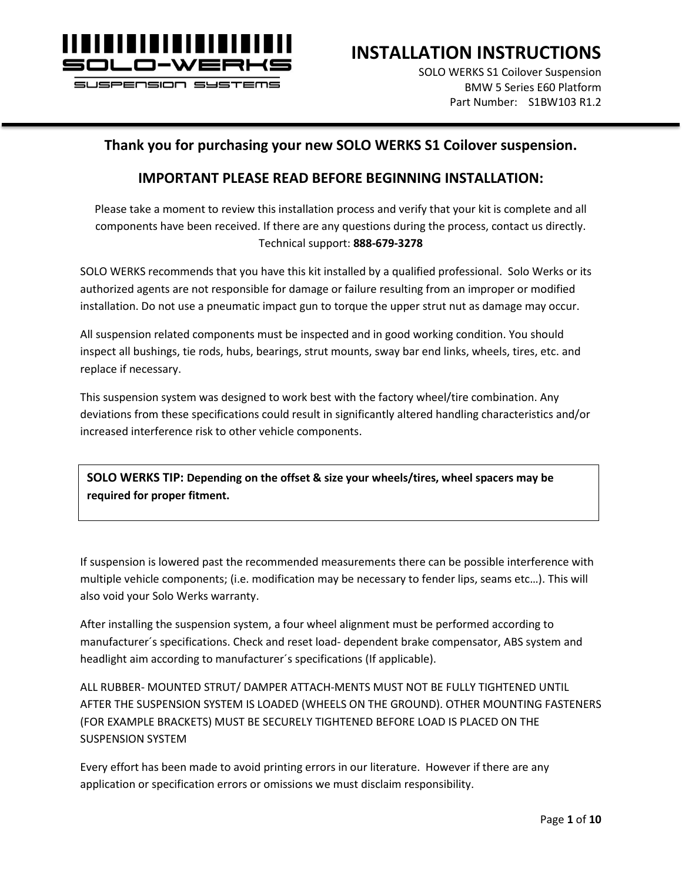

SI ISPENSION SYSTEMS

**INSTALLATION INSTRUCTIONS**

SOLO WERKS S1 Coilover Suspension BMW 5 Series E60 Platform Part Number: S1BW103 R1.2

#### **Thank you for purchasing your new SOLO WERKS S1 Coilover suspension.**

#### **IMPORTANT PLEASE READ BEFORE BEGINNING INSTALLATION:**

Please take a moment to review this installation process and verify that your kit is complete and all components have been received. If there are any questions during the process, contact us directly. Technical support: **888-679-3278**

SOLO WERKS recommends that you have this kit installed by a qualified professional. Solo Werks or its authorized agents are not responsible for damage or failure resulting from an improper or modified installation. Do not use a pneumatic impact gun to torque the upper strut nut as damage may occur.

All suspension related components must be inspected and in good working condition. You should inspect all bushings, tie rods, hubs, bearings, strut mounts, sway bar end links, wheels, tires, etc. and replace if necessary.

This suspension system was designed to work best with the factory wheel/tire combination. Any deviations from these specifications could result in significantly altered handling characteristics and/or increased interference risk to other vehicle components.

**SOLO WERKS TIP: Depending on the offset & size your wheels/tires, wheel spacers may be required for proper fitment.**

If suspension is lowered past the recommended measurements there can be possible interference with multiple vehicle components; (i.e. modification may be necessary to fender lips, seams etc…). This will also void your Solo Werks warranty.

After installing the suspension system, a four wheel alignment must be performed according to manufacturer´s specifications. Check and reset load- dependent brake compensator, ABS system and headlight aim according to manufacturer´s specifications (If applicable).

ALL RUBBER- MOUNTED STRUT/ DAMPER ATTACH-MENTS MUST NOT BE FULLY TIGHTENED UNTIL AFTER THE SUSPENSION SYSTEM IS LOADED (WHEELS ON THE GROUND). OTHER MOUNTING FASTENERS (FOR EXAMPLE BRACKETS) MUST BE SECURELY TIGHTENED BEFORE LOAD IS PLACED ON THE SUSPENSION SYSTEM

Every effort has been made to avoid printing errors in our literature. However if there are any application or specification errors or omissions we must disclaim responsibility.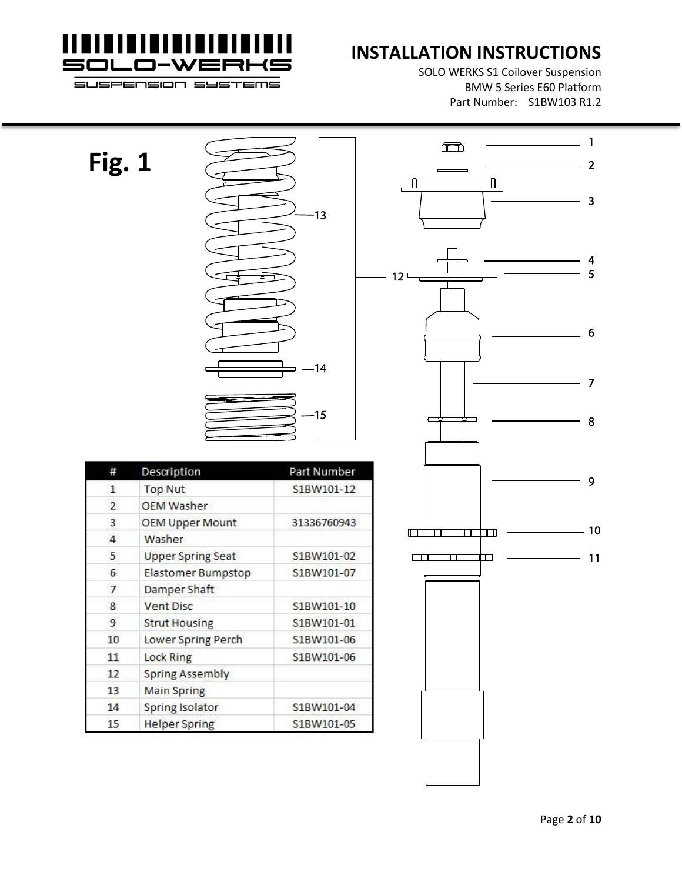

SOLO WERKS S1 Coilover Suspension BMW 5 Series E60 Platform Part Number: S1BW103 R1.2



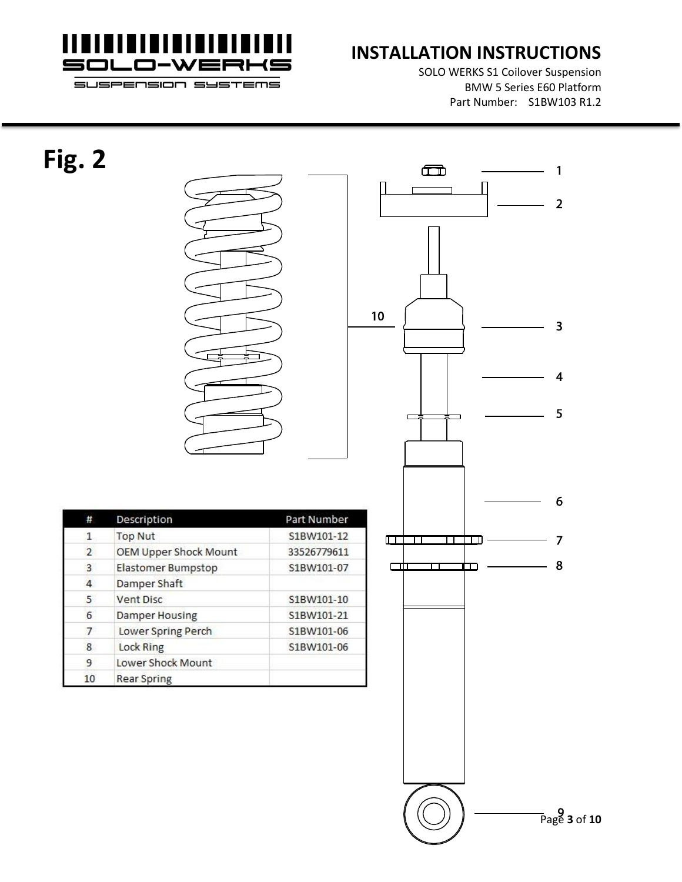

SOLO WERKS S1 Coilover Suspension BMW 5 Series E60 Platform Part Number: S1BW103 R1.2

1

 $\overline{2}$ 

 $\overline{\mathbf{3}}$ 

 $\overline{\mathbf{4}}$ 

5

6

 $\overline{7}$ 

8



Page **3** of **10**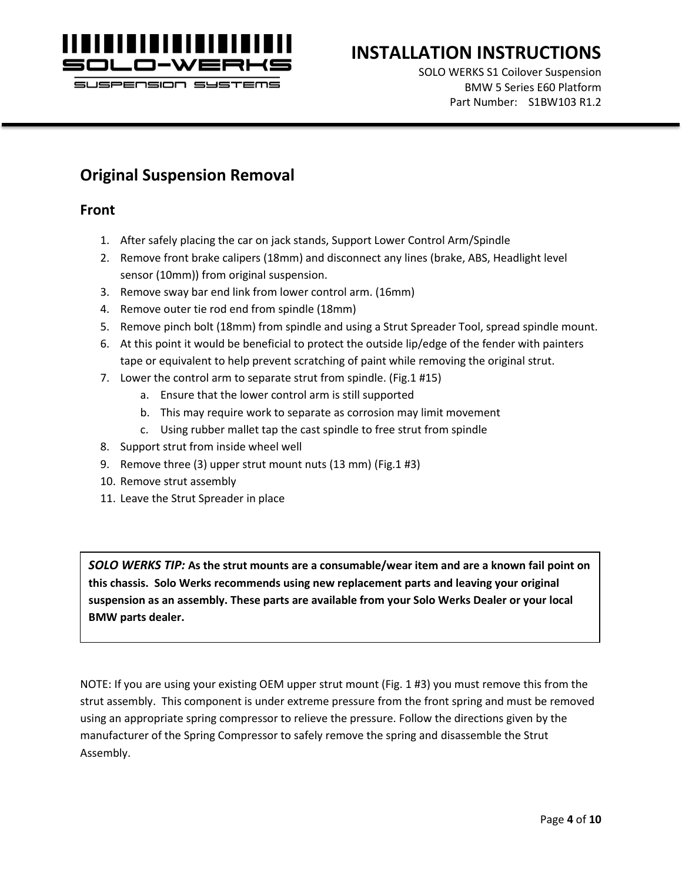

SOLO WERKS S1 Coilover Suspension BMW 5 Series E60 Platform Part Number: S1BW103 R1.2

### **Original Suspension Removal**

#### **Front**

- 1. After safely placing the car on jack stands, Support Lower Control Arm/Spindle
- 2. Remove front brake calipers (18mm) and disconnect any lines (brake, ABS, Headlight level sensor (10mm)) from original suspension.
- 3. Remove sway bar end link from lower control arm. (16mm)
- 4. Remove outer tie rod end from spindle (18mm)
- 5. Remove pinch bolt (18mm) from spindle and using a Strut Spreader Tool, spread spindle mount.
- 6. At this point it would be beneficial to protect the outside lip/edge of the fender with painters tape or equivalent to help prevent scratching of paint while removing the original strut.
- 7. Lower the control arm to separate strut from spindle. (Fig.1 #15)
	- a. Ensure that the lower control arm is still supported
	- b. This may require work to separate as corrosion may limit movement
	- c. Using rubber mallet tap the cast spindle to free strut from spindle
- 8. Support strut from inside wheel well
- 9. Remove three (3) upper strut mount nuts (13 mm) (Fig.1 #3)
- 10. Remove strut assembly
- 11. Leave the Strut Spreader in place

*SOLO WERKS TIP:* **As the strut mounts are a consumable/wear item and are a known fail point on this chassis. Solo Werks recommends using new replacement parts and leaving your original suspension as an assembly. These parts are available from your Solo Werks Dealer or your local BMW parts dealer.**

NOTE: If you are using your existing OEM upper strut mount (Fig. 1 #3) you must remove this from the strut assembly. This component is under extreme pressure from the front spring and must be removed using an appropriate spring compressor to relieve the pressure. Follow the directions given by the manufacturer of the Spring Compressor to safely remove the spring and disassemble the Strut Assembly.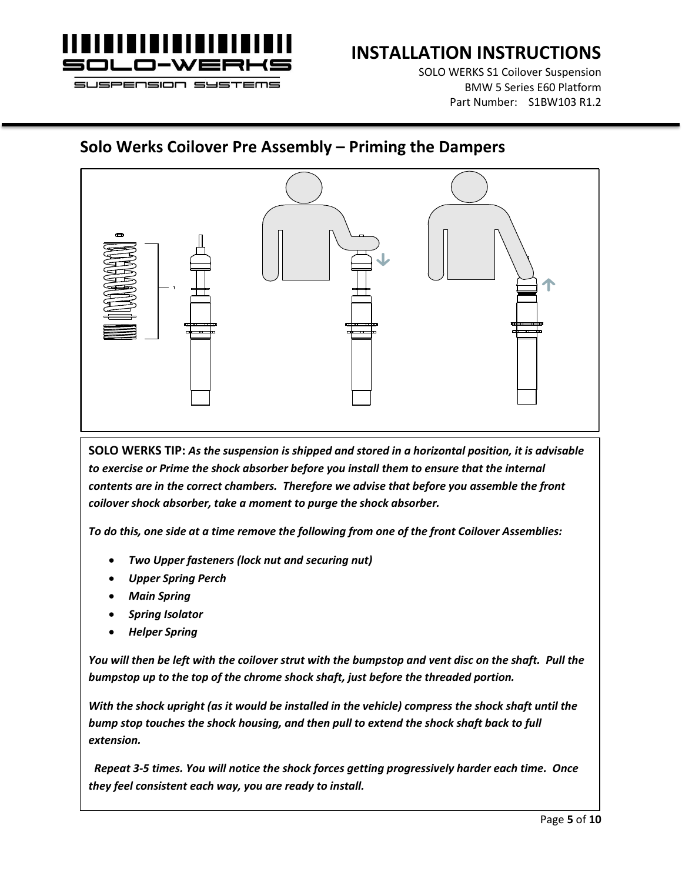

SOLO WERKS S1 Coilover Suspension BMW 5 Series E60 Platform Part Number: S1BW103 R1.2

#### **Solo Werks Coilover Pre Assembly – Priming the Dampers**



**SOLO WERKS TIP:** *As the suspension is shipped and stored in a horizontal position, it is advisable to exercise or Prime the shock absorber before you install them to ensure that the internal contents are in the correct chambers. Therefore we advise that before you assemble the front coilover shock absorber, take a moment to purge the shock absorber.* 

*To do this, one side at a time remove the following from one of the front Coilover Assemblies:*

- *Two Upper fasteners (lock nut and securing nut)*
- *Upper Spring Perch*
- *Main Spring*
- *Spring Isolator*
- *Helper Spring*

*You will then be left with the coilover strut with the bumpstop and vent disc on the shaft. Pull the bumpstop up to the top of the chrome shock shaft, just before the threaded portion.* 

*With the shock upright (as it would be installed in the vehicle) compress the shock shaft until the bump stop touches the shock housing, and then pull to extend the shock shaft back to full extension.*

 *Repeat 3-5 times. You will notice the shock forces getting progressively harder each time. Once they feel consistent each way, you are ready to install.*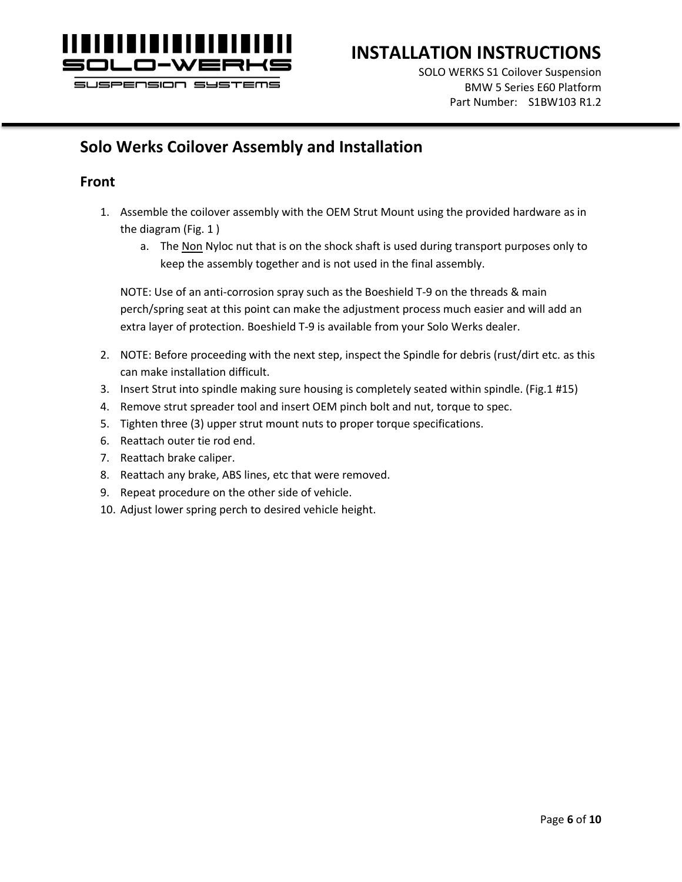

SOLO WERKS S1 Coilover Suspension BMW 5 Series E60 Platform Part Number: S1BW103 R1.2

## **Solo Werks Coilover Assembly and Installation**

#### **Front**

- 1. Assemble the coilover assembly with the OEM Strut Mount using the provided hardware as in the diagram (Fig. 1 )
	- a. The Non Nyloc nut that is on the shock shaft is used during transport purposes only to keep the assembly together and is not used in the final assembly.

NOTE: Use of an anti-corrosion spray such as the Boeshield T-9 on the threads & main perch/spring seat at this point can make the adjustment process much easier and will add an extra layer of protection. Boeshield T-9 is available from your Solo Werks dealer.

- 2. NOTE: Before proceeding with the next step, inspect the Spindle for debris (rust/dirt etc. as this can make installation difficult.
- 3. Insert Strut into spindle making sure housing is completely seated within spindle. (Fig.1 #15)
- 4. Remove strut spreader tool and insert OEM pinch bolt and nut, torque to spec.
- 5. Tighten three (3) upper strut mount nuts to proper torque specifications.
- 6. Reattach outer tie rod end.
- 7. Reattach brake caliper.
- 8. Reattach any brake, ABS lines, etc that were removed.
- 9. Repeat procedure on the other side of vehicle.
- 10. Adjust lower spring perch to desired vehicle height.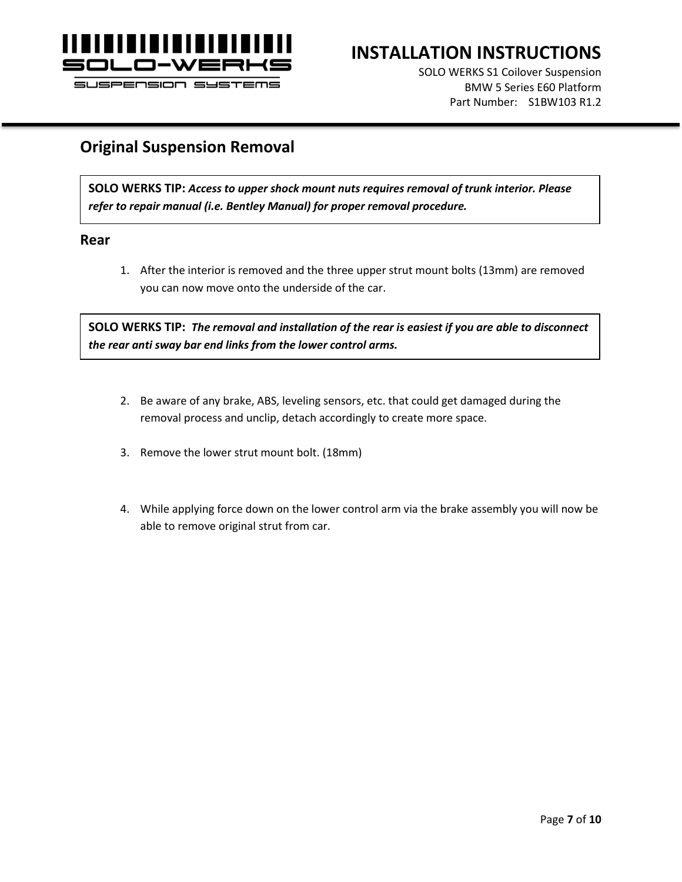

SOLO WERKS S1 Coilover Suspension BMW 5 Series E60 Platform Part Number: S1BW103 R1.2

#### SUSPENSION SYSTEMS

#### **Original Suspension Removal**

**SOLO WERKS TIP:** *Access to upper shock mount nuts requires removal of trunk interior. Please refer to repair manual (i.e. Bentley Manual) for proper removal procedure.*

#### **Rear**

1. After the interior is removed and the three upper strut mount bolts (13mm) are removed you can now move onto the underside of the car.

**SOLO WERKS TIP:** *The removal and installation of the rear is easiest if you are able to disconnect the rear anti sway bar end links from the lower control arms.*

- 2. Be aware of any brake, ABS, leveling sensors, etc. that could get damaged during the removal process and unclip, detach accordingly to create more space.
- 3. Remove the lower strut mount bolt. (18mm)
- 4. While applying force down on the lower control arm via the brake assembly you will now be able to remove original strut from car.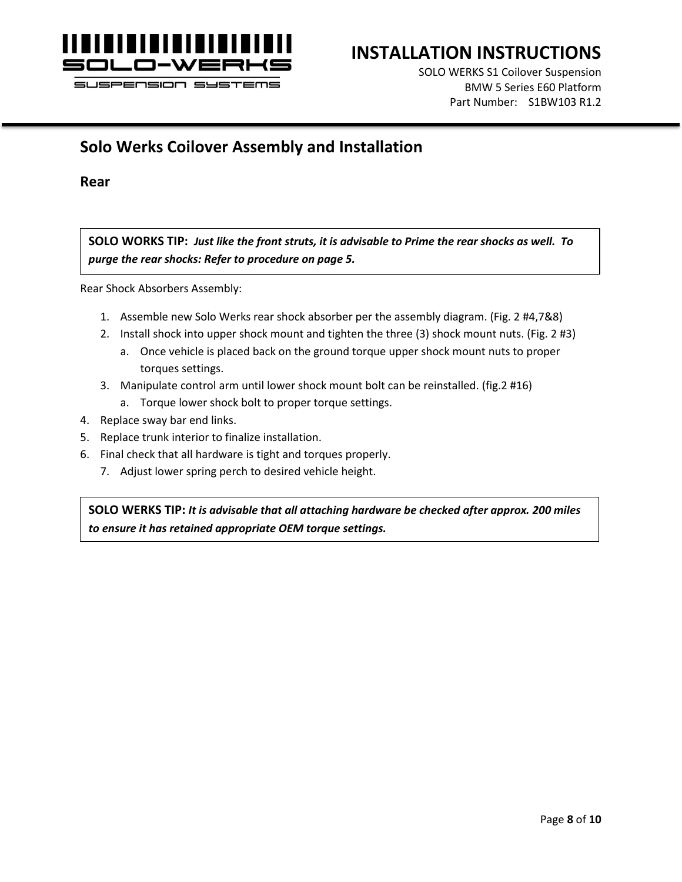

SOLO WERKS S1 Coilover Suspension BMW 5 Series E60 Platform Part Number: S1BW103 R1.2

## **Solo Werks Coilover Assembly and Installation**

**Rear**

**SOLO WORKS TIP:** *Just like the front struts, it is advisable to Prime the rear shocks as well. To purge the rear shocks: Refer to procedure on page 5.*

Rear Shock Absorbers Assembly:

- 1. Assemble new Solo Werks rear shock absorber per the assembly diagram. (Fig. 2 #4,7&8)
- 2. Install shock into upper shock mount and tighten the three (3) shock mount nuts. (Fig. 2 #3)
	- a. Once vehicle is placed back on the ground torque upper shock mount nuts to proper torques settings.
- 3. Manipulate control arm until lower shock mount bolt can be reinstalled. (fig.2 #16)
	- a. Torque lower shock bolt to proper torque settings.
- 4. Replace sway bar end links.
- 5. Replace trunk interior to finalize installation.
- 6. Final check that all hardware is tight and torques properly.
	- 7. Adjust lower spring perch to desired vehicle height.

**SOLO WERKS TIP:** *It is advisable that all attaching hardware be checked after approx. 200 miles to ensure it has retained appropriate OEM torque settings.*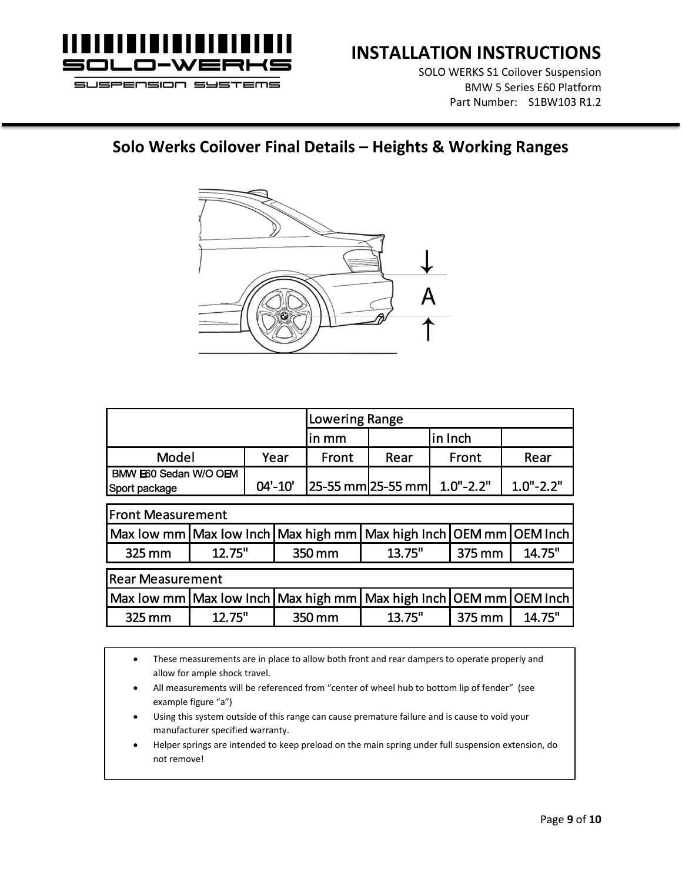

SOLO WERKS S1 Coilover Suspension BMW 5 Series E60 Platform Part Number: S1BW103 R1.2

#### **Solo Werks Coilover Final Details – Heights & Working Ranges**



|                                        |             | Lowering Range |      |                                       |               |  |
|----------------------------------------|-------------|----------------|------|---------------------------------------|---------------|--|
|                                        |             | lin mm         |      | lin Inch                              |               |  |
| Model                                  | Year        | Front          | Rear | Front                                 | Rear          |  |
| BMW E60 Sedan W/O OEM<br>Sport package | $04' - 10'$ |                |      | $ 25-55$ mm $ 25-55$ mm $ 1.0$ "-2.2" | $1.0" - 2.2"$ |  |

| <b>Front Measurement</b> |                  |  |                                                                                                                           |        |        |  |  |
|--------------------------|------------------|--|---------------------------------------------------------------------------------------------------------------------------|--------|--------|--|--|
|                          |                  |  | Max low mm Max low Inch Max high mm Max high Inch OEM mm OEM Inch                                                         |        |        |  |  |
| 325 mm                   | 12.75"<br>350 mm |  | 13.75"                                                                                                                    | 375 mm | 14.75" |  |  |
| <b>Rear Measurement</b>  |                  |  |                                                                                                                           |        |        |  |  |
|                          |                  |  |                                                                                                                           |        |        |  |  |
|                          |                  |  | $\vert$ Max low mm $\vert$ Max low Inch $\vert$ Max high mm $\vert$ Max high Inch $\vert$ OEM mm $\vert$ OEM Inch $\vert$ |        |        |  |  |

• These measurements are in place to allow both front and rear dampers to operate properly and allow for ample shock travel.

- All measurements will be referenced from "center of wheel hub to bottom lip of fender" (see example figure "a")
- Using this system outside of this range can cause premature failure and is cause to void your manufacturer specified warranty.
- Helper springs are intended to keep preload on the main spring under full suspension extension, do not remove!